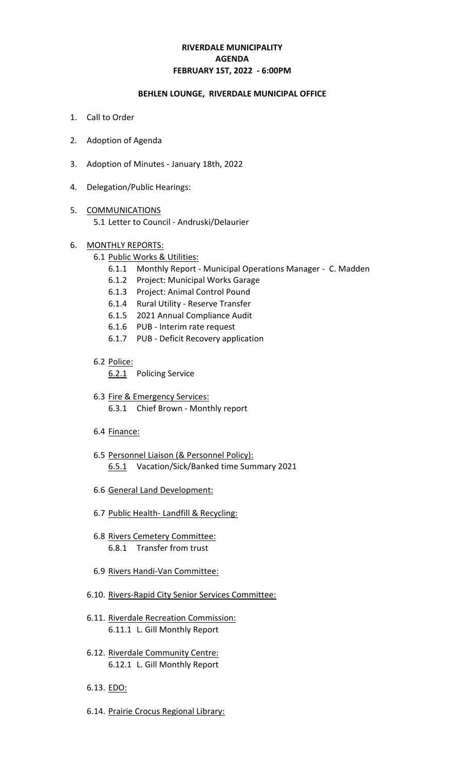# **RIVERDALE MUNICIPALITY FEBRUARY 1ST, 2022 - 6:00PM AGENDA**

#### **BEHLEN LOUNGE, RIVERDALE MUNICIPAL OFFICE**

- 1. Call to Order
- 2. Adoption of Agenda
- 3. Adoption of Minutes January 18th, 2022
- 4. Delegation/Public Hearings:
- 5. COMMUNICATIONS 5.1 Letter to Council - Andruski/Delaurier
- 6. MONTHLY REPORTS:
	- 6.1 Public Works & Utilities:
		- 6.1.1 Monthly Report Municipal Operations Manager C. Madden
		- 6.1.2 Project: Municipal Works Garage
		- 6.1.3 Project: Animal Control Pound
		- 6.1.4 Rural Utility Reserve Transfer
		- 6.1.5 2021 Annual Compliance Audit
		- 6.1.6 PUB Interim rate request
		- 6.1.7 PUB Deficit Recovery application
	- 6.2 Police:
		- 6.2.1 Policing Service
	- 6.3 Fire & Emergency Services: 6.3.1 Chief Brown - Monthly report
	- 6.4 Finance:
	- 6.5 Personnel Liaison (& Personnel Policy): 6.5.1 Vacation/Sick/Banked time Summary 2021
	- 6.6 General Land Development:
	- 6.7 Public Health- Landfill & Recycling:
	- 6.8 Rivers Cemetery Committee: 6.8.1 Transfer from trust
	- 6.9 Rivers Handi-Van Committee:
	- 6.10. Rivers-Rapid City Senior Services Committee:
	- 6.11. Riverdale Recreation Commission: 6.11.1 L. Gill Monthly Report
	- 6.12. Riverdale Community Centre: 6.12.1 L. Gill Monthly Report
	- 6.13. EDO:
	- 6.14. Prairie Crocus Regional Library: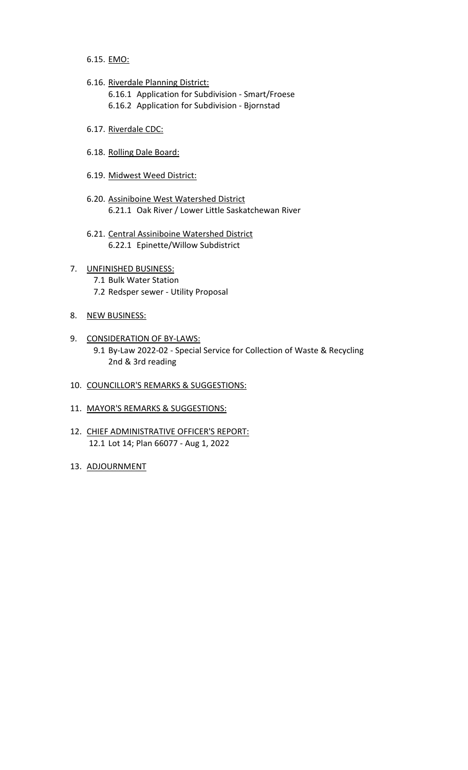6.15. EMO:

6.16. Riverdale Planning District:

6.16.1 Application for Subdivision - Smart/Froese 6.16.2 Application for Subdivision - Bjornstad

- 6.17. Riverdale CDC:
- 6.18. Rolling Dale Board:
- 6.19. Midwest Weed District:
- 6.20. Assiniboine West Watershed District 6.21.1 Oak River / Lower Little Saskatchewan River
- 6.21. Central Assiniboine Watershed District 6.22.1 Epinette/Willow Subdistrict
- 7. UNFINISHED BUSINESS: 7.1 Bulk Water Station 7.2 Redsper sewer - Utility Proposal
- 8. NEW BUSINESS:
- 9. CONSIDERATION OF BY-LAWS: 9.1 By-Law 2022-02 - Special Service for Collection of Waste & Recycling 2nd & 3rd reading
- 10. COUNCILLOR'S REMARKS & SUGGESTIONS:
- 11. MAYOR'S REMARKS & SUGGESTIONS:
- 12. CHIEF ADMINISTRATIVE OFFICER'S REPORT: 12.1 Lot 14; Plan 66077 - Aug 1, 2022
- 13. ADJOURNMENT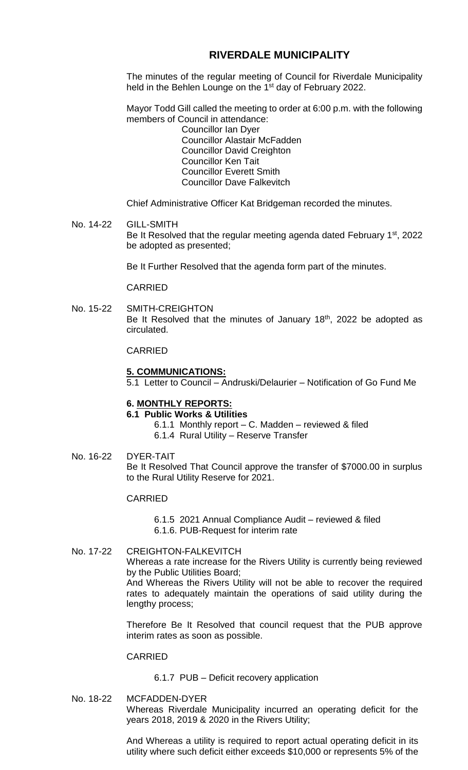# **RIVERDALE MUNICIPALITY**

The minutes of the regular meeting of Council for Riverdale Municipality held in the Behlen Lounge on the 1<sup>st</sup> day of February 2022.

Mayor Todd Gill called the meeting to order at 6:00 p.m. with the following members of Council in attendance:

Councillor Ian Dyer Councillor Alastair McFadden Councillor David Creighton Councillor Ken Tait Councillor Everett Smith Councillor Dave Falkevitch

Chief Administrative Officer Kat Bridgeman recorded the minutes.

No. 14-22 GILL-SMITH Be It Resolved that the regular meeting agenda dated February 1<sup>st</sup>, 2022 be adopted as presented;

Be It Further Resolved that the agenda form part of the minutes.

CARRIED

No. 15-22 SMITH-CREIGHTON Be It Resolved that the minutes of January 18<sup>th</sup>, 2022 be adopted as circulated.

CARRIED

#### **5. COMMUNICATIONS:**

5.1 Letter to Council – Andruski/Delaurier – Notification of Go Fund Me

### **6. MONTHLY REPORTS:**

**6.1 Public Works & Utilities**

- 6.1.1 Monthly report C. Madden reviewed & filed
- 6.1.4 Rural Utility Reserve Transfer
- No. 16-22 DYER-TAIT

Be It Resolved That Council approve the transfer of \$7000.00 in surplus to the Rural Utility Reserve for 2021.

### CARRIED

6.1.5 2021 Annual Compliance Audit – reviewed & filed 6.1.6. PUB-Request for interim rate

### No. 17-22 CREIGHTON-FALKEVITCH

Whereas a rate increase for the Rivers Utility is currently being reviewed by the Public Utilities Board;

And Whereas the Rivers Utility will not be able to recover the required rates to adequately maintain the operations of said utility during the lengthy process;

Therefore Be It Resolved that council request that the PUB approve interim rates as soon as possible.

**CARRIED** 

6.1.7 PUB – Deficit recovery application

No. 18-22 MCFADDEN-DYER Whereas Riverdale Municipality incurred an operating deficit for the years 2018, 2019 & 2020 in the Rivers Utility;

> And Whereas a utility is required to report actual operating deficit in its utility where such deficit either exceeds \$10,000 or represents 5% of the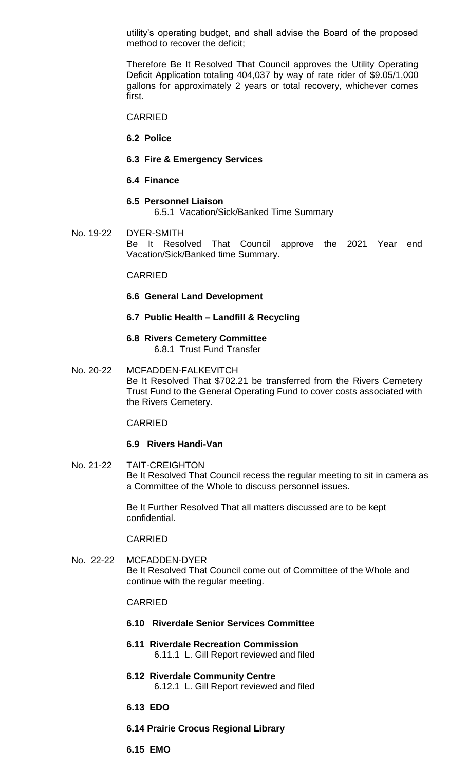utility's operating budget, and shall advise the Board of the proposed method to recover the deficit;

Therefore Be It Resolved That Council approves the Utility Operating Deficit Application totaling 404,037 by way of rate rider of \$9.05/1,000 gallons for approximately 2 years or total recovery, whichever comes first.

CARRIED

**6.2 Police**

- **6.3 Fire & Emergency Services**
- **6.4 Finance**

#### **6.5 Personnel Liaison**

6.5.1 Vacation/Sick/Banked Time Summary

No. 19-22 DYER-SMITH Be It Resolved That Council approve the 2021 Year end Vacation/Sick/Banked time Summary.

#### CARRIED

- **6.6 General Land Development**
- **6.7 Public Health – Landfill & Recycling**
- **6.8 Rivers Cemetery Committee** 6.8.1 Trust Fund Transfer
- No. 20-22 MCFADDEN-FALKEVITCH Be It Resolved That \$702.21 be transferred from the Rivers Cemetery Trust Fund to the General Operating Fund to cover costs associated with the Rivers Cemetery.

#### CARRIED

#### **6.9 Rivers Handi-Van**

No. 21-22 TAIT-CREIGHTON Be It Resolved That Council recess the regular meeting to sit in camera as a Committee of the Whole to discuss personnel issues.

> Be It Further Resolved That all matters discussed are to be kept confidential.

#### CARRIED

No. 22-22 MCFADDEN-DYER Be It Resolved That Council come out of Committee of the Whole and continue with the regular meeting.

#### CARRIED

- **6.10 Riverdale Senior Services Committee**
- **6.11 Riverdale Recreation Commission** 6.11.1 L. Gill Report reviewed and filed
- **6.12 Riverdale Community Centre** 6.12.1 L. Gill Report reviewed and filed
- **6.13 EDO**
- **6.14 Prairie Crocus Regional Library**

**6.15 EMO**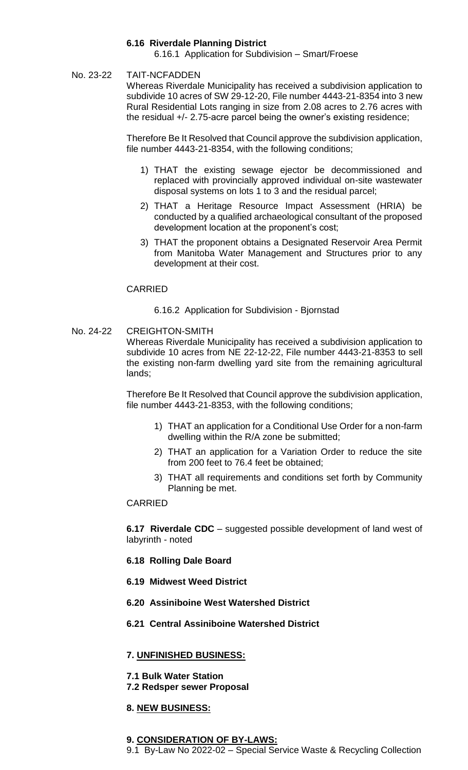## **6.16 Riverdale Planning District**

6.16.1 Application for Subdivision – Smart/Froese

## No. 23-22 TAIT-NCFADDEN

Whereas Riverdale Municipality has received a subdivision application to subdivide 10 acres of SW 29-12-20, File number 4443-21-8354 into 3 new Rural Residential Lots ranging in size from 2.08 acres to 2.76 acres with the residual +/- 2.75-acre parcel being the owner's existing residence;

Therefore Be It Resolved that Council approve the subdivision application, file number 4443-21-8354, with the following conditions;

- 1) THAT the existing sewage ejector be decommissioned and replaced with provincially approved individual on-site wastewater disposal systems on lots 1 to 3 and the residual parcel;
- 2) THAT a Heritage Resource Impact Assessment (HRIA) be conducted by a qualified archaeological consultant of the proposed development location at the proponent's cost;
- 3) THAT the proponent obtains a Designated Reservoir Area Permit from Manitoba Water Management and Structures prior to any development at their cost.

### CARRIED

6.16.2 Application for Subdivision - Bjornstad

## No. 24-22 CREIGHTON-SMITH

Whereas Riverdale Municipality has received a subdivision application to subdivide 10 acres from NE 22-12-22, File number 4443-21-8353 to sell the existing non-farm dwelling yard site from the remaining agricultural lands;

Therefore Be It Resolved that Council approve the subdivision application, file number 4443-21-8353, with the following conditions;

- 1) THAT an application for a Conditional Use Order for a non-farm dwelling within the R/A zone be submitted;
- 2) THAT an application for a Variation Order to reduce the site from 200 feet to 76.4 feet be obtained;
- 3) THAT all requirements and conditions set forth by Community Planning be met.

### CARRIED

**6.17 Riverdale CDC** – suggested possible development of land west of labyrinth - noted

- **6.18 Rolling Dale Board**
- **6.19 Midwest Weed District**
- **6.20 Assiniboine West Watershed District**
- **6.21 Central Assiniboine Watershed District**

### **7. UNFINISHED BUSINESS:**

- **7.1 Bulk Water Station**
- **7.2 Redsper sewer Proposal**

### **8. NEW BUSINESS:**

### **9. CONSIDERATION OF BY-LAWS:**

9.1 By-Law No 2022-02 – Special Service Waste & Recycling Collection